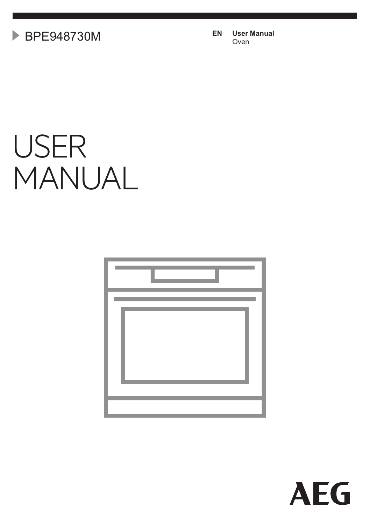**EN User Manual** BPE948730M Oven

# USER MANUAL



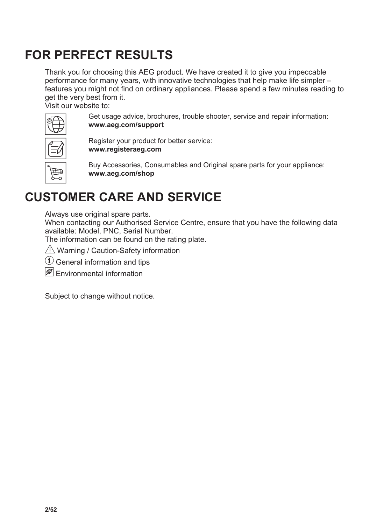### **FOR PERFECT RESULTS**

Thank you for choosing this AEG product. We have created it to give you impeccable performance for many years, with innovative technologies that help make life simpler – features you might not find on ordinary appliances. Please spend a few minutes reading to get the very best from it.

Visit our website to:



Get usage advice, brochures, trouble shooter, service and repair information: **www.aeg.com/support**

Register your product for better service: **www.registeraeg.com**

Buy Accessories, Consumables and Original spare parts for your appliance: **www.aeg.com/shop**

# **CUSTOMER CARE AND SERVICE**

Always use original spare parts.

When contacting our Authorised Service Centre, ensure that you have the following data available: Model, PNC, Serial Number.

The information can be found on the rating plate.

**△ Warning / Caution-Safety information** 

General information and tips

 $|\mathscr{B}|$  Fnvironmental information

Subject to change without notice.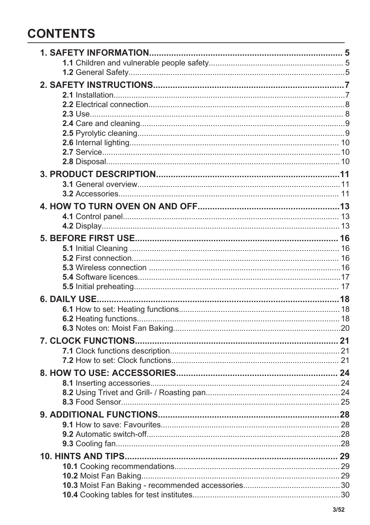### **CONTENTS**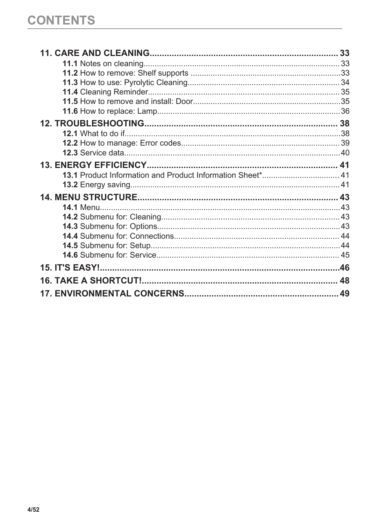| 48 |
|----|
|    |
|    |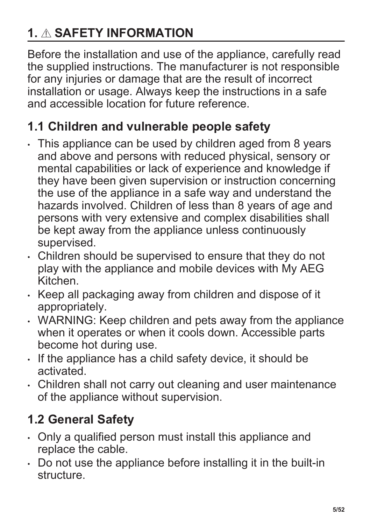# <span id="page-4-0"></span>**1. SAFETY INFORMATION**

Before the installation and use of the appliance, carefully read the supplied instructions. The manufacturer is not responsible for any injuries or damage that are the result of incorrect installation or usage. Always keep the instructions in a safe and accessible location for future reference.

### **1.1 Children and vulnerable people safety**

- This appliance can be used by children aged from 8 years and above and persons with reduced physical, sensory or mental capabilities or lack of experience and knowledge if they have been given supervision or instruction concerning the use of the appliance in a safe way and understand the hazards involved. Children of less than 8 years of age and persons with very extensive and complex disabilities shall be kept away from the appliance unless continuously supervised.
- Children should be supervised to ensure that they do not play with the appliance and mobile devices with My AEG Kitchen.
- Keep all packaging away from children and dispose of it appropriately.
- WARNING: Keep children and pets away from the appliance when it operates or when it cools down. Accessible parts become hot during use.
- If the appliance has a child safety device, it should be activated.
- Children shall not carry out cleaning and user maintenance of the appliance without supervision.

# **1.2 General Safety**

- Only a qualified person must install this appliance and replace the cable.
- Do not use the appliance before installing it in the built-in structure.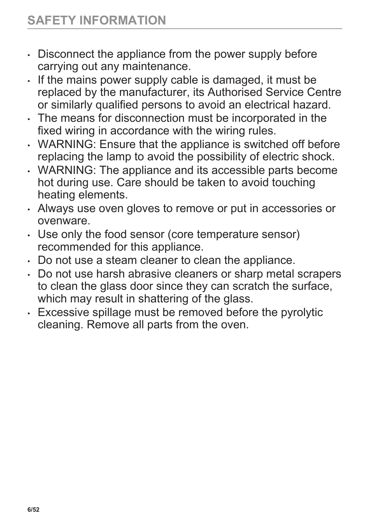- Disconnect the appliance from the power supply before carrying out any maintenance.
- If the mains power supply cable is damaged, it must be replaced by the manufacturer, its Authorised Service Centre or similarly qualified persons to avoid an electrical hazard.
- The means for disconnection must be incorporated in the fixed wiring in accordance with the wiring rules.
- WARNING: Ensure that the appliance is switched off before replacing the lamp to avoid the possibility of electric shock.
- WARNING: The appliance and its accessible parts become hot during use. Care should be taken to avoid touching heating elements.
- Always use oven gloves to remove or put in accessories or ovenware.
- Use only the food sensor (core temperature sensor) recommended for this appliance.
- Do not use a steam cleaner to clean the appliance.
- Do not use harsh abrasive cleaners or sharp metal scrapers to clean the glass door since they can scratch the surface, which may result in shattering of the glass.
- Excessive spillage must be removed before the pyrolytic cleaning. Remove all parts from the oven.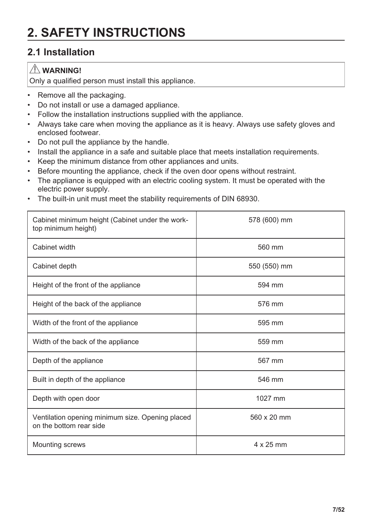# <span id="page-6-0"></span>**2. SAFETY INSTRUCTIONS**

### **2.1 Installation**

### **WARNING!**

Only a qualified person must install this appliance.

- Remove all the packaging.
- Do not install or use a damaged appliance.
- Follow the installation instructions supplied with the appliance.
- Always take care when moving the appliance as it is heavy. Always use safety gloves and enclosed footwear.
- Do not pull the appliance by the handle.
- Install the appliance in a safe and suitable place that meets installation requirements.
- Keep the minimum distance from other appliances and units.
- Before mounting the appliance, check if the oven door opens without restraint.
- The appliance is equipped with an electric cooling system. It must be operated with the electric power supply.
- The built-in unit must meet the stability requirements of DIN 68930.

| Cabinet minimum height (Cabinet under the work-<br>top minimum height)      | 578 (600) mm |
|-----------------------------------------------------------------------------|--------------|
| Cabinet width                                                               | 560 mm       |
| Cabinet depth                                                               | 550 (550) mm |
| Height of the front of the appliance                                        | 594 mm       |
| Height of the back of the appliance                                         | 576 mm       |
| Width of the front of the appliance                                         | 595 mm       |
| Width of the back of the appliance                                          | 559 mm       |
| Depth of the appliance                                                      | 567 mm       |
| Built in depth of the appliance                                             | 546 mm       |
| Depth with open door                                                        | 1027 mm      |
| Ventilation opening minimum size. Opening placed<br>on the bottom rear side | 560 x 20 mm  |
| Mounting screws                                                             | 4 x 25 mm    |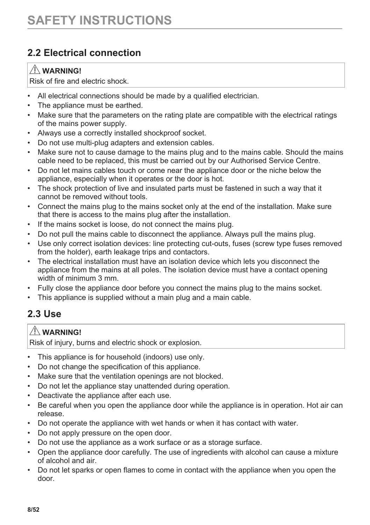### <span id="page-7-0"></span>**2.2 Electrical connection**

#### $\hat{N}$  WARNING!

Risk of fire and electric shock.

- All electrical connections should be made by a qualified electrician.
- The appliance must be earthed.
- Make sure that the parameters on the rating plate are compatible with the electrical ratings of the mains power supply.
- Always use a correctly installed shockproof socket.
- Do not use multi-plug adapters and extension cables.
- Make sure not to cause damage to the mains plug and to the mains cable. Should the mains cable need to be replaced, this must be carried out by our Authorised Service Centre.
- Do not let mains cables touch or come near the appliance door or the niche below the appliance, especially when it operates or the door is hot.
- The shock protection of live and insulated parts must be fastened in such a way that it cannot be removed without tools.
- Connect the mains plug to the mains socket only at the end of the installation. Make sure that there is access to the mains plug after the installation.
- If the mains socket is loose, do not connect the mains plug.
- Do not pull the mains cable to disconnect the appliance. Always pull the mains plug.
- Use only correct isolation devices: line protecting cut-outs, fuses (screw type fuses removed from the holder), earth leakage trips and contactors.
- The electrical installation must have an isolation device which lets you disconnect the appliance from the mains at all poles. The isolation device must have a contact opening width of minimum 3 mm.
- Fully close the appliance door before you connect the mains plug to the mains socket.
- This appliance is supplied without a main plug and a main cable.

### **2.3 Use**

#### **WARNING!**

Risk of injury, burns and electric shock or explosion.

- This appliance is for household (indoors) use only.
- Do not change the specification of this appliance.
- Make sure that the ventilation openings are not blocked.
- Do not let the appliance stay unattended during operation.
- Deactivate the appliance after each use.
- Be careful when you open the appliance door while the appliance is in operation. Hot air can release.
- Do not operate the appliance with wet hands or when it has contact with water.
- Do not apply pressure on the open door.
- Do not use the appliance as a work surface or as a storage surface.
- Open the appliance door carefully. The use of ingredients with alcohol can cause a mixture of alcohol and air.
- Do not let sparks or open flames to come in contact with the appliance when you open the door.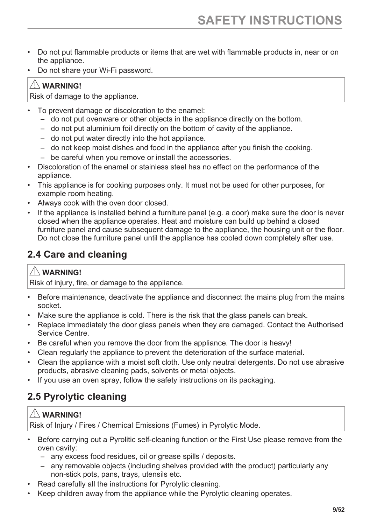- <span id="page-8-0"></span>• Do not put flammable products or items that are wet with flammable products in, near or on the appliance.
- Do not share your Wi-Fi password.

#### **WARNING!**

Risk of damage to the appliance.

- To prevent damage or discoloration to the enamel:
	- do not put ovenware or other objects in the appliance directly on the bottom.
	- do not put aluminium foil directly on the bottom of cavity of the appliance.
	- do not put water directly into the hot appliance.
	- do not keep moist dishes and food in the appliance after you finish the cooking.
	- be careful when you remove or install the accessories.
- Discoloration of the enamel or stainless steel has no effect on the performance of the appliance.
- This appliance is for cooking purposes only. It must not be used for other purposes, for example room heating.
- Always cook with the oven door closed.
- If the appliance is installed behind a furniture panel (e.g. a door) make sure the door is never closed when the appliance operates. Heat and moisture can build up behind a closed furniture panel and cause subsequent damage to the appliance, the housing unit or the floor. Do not close the furniture panel until the appliance has cooled down completely after use.

### **2.4 Care and cleaning**

### $\Lambda$  WARNING!

Risk of injury, fire, or damage to the appliance.

- Before maintenance, deactivate the appliance and disconnect the mains plug from the mains socket.
- Make sure the appliance is cold. There is the risk that the glass panels can break.
- Replace immediately the door glass panels when they are damaged. Contact the Authorised Service Centre.
- Be careful when you remove the door from the appliance. The door is heavy!
- Clean regularly the appliance to prevent the deterioration of the surface material.
- Clean the appliance with a moist soft cloth. Use only neutral detergents. Do not use abrasive products, abrasive cleaning pads, solvents or metal objects.
- If you use an oven spray, follow the safety instructions on its packaging.

### **2.5 Pyrolytic cleaning**

### **WARNING!**

Risk of Injury / Fires / Chemical Emissions (Fumes) in Pyrolytic Mode.

- Before carrying out a Pyrolitic self-cleaning function or the First Use please remove from the oven cavity:
	- any excess food residues, oil or grease spills / deposits.
	- any removable objects (including shelves provided with the product) particularly any non-stick pots, pans, trays, utensils etc.
- Read carefully all the instructions for Pyrolytic cleaning.
- Keep children away from the appliance while the Pyrolytic cleaning operates.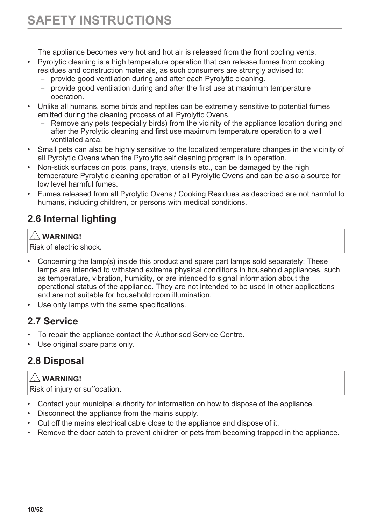<span id="page-9-0"></span>The appliance becomes very hot and hot air is released from the front cooling vents.

- Pyrolytic cleaning is a high temperature operation that can release fumes from cooking residues and construction materials, as such consumers are strongly advised to:
	- provide good ventilation during and after each Pyrolytic cleaning.
	- provide good ventilation during and after the first use at maximum temperature operation.
- Unlike all humans, some birds and reptiles can be extremely sensitive to potential fumes emitted during the cleaning process of all Pyrolytic Ovens.
	- Remove any pets (especially birds) from the vicinity of the appliance location during and after the Pyrolytic cleaning and first use maximum temperature operation to a well ventilated area.
- Small pets can also be highly sensitive to the localized temperature changes in the vicinity of all Pyrolytic Ovens when the Pyrolytic self cleaning program is in operation.
- Non-stick surfaces on pots, pans, trays, utensils etc., can be damaged by the high temperature Pyrolytic cleaning operation of all Pyrolytic Ovens and can be also a source for low level harmful fumes.
- Fumes released from all Pyrolytic Ovens / Cooking Residues as described are not harmful to humans, including children, or persons with medical conditions.

### **2.6 Internal lighting**

#### **WARNING!**

Risk of electric shock.

- Concerning the lamp(s) inside this product and spare part lamps sold separately: These lamps are intended to withstand extreme physical conditions in household appliances, such as temperature, vibration, humidity, or are intended to signal information about the operational status of the appliance. They are not intended to be used in other applications and are not suitable for household room illumination.
- Use only lamps with the same specifications.

### **2.7 Service**

- To repair the appliance contact the Authorised Service Centre.
- Use original spare parts only.

### **2.8 Disposal**

### **WARNING!**

Risk of injury or suffocation.

- Contact your municipal authority for information on how to dispose of the appliance.
- Disconnect the appliance from the mains supply.
- Cut off the mains electrical cable close to the appliance and dispose of it.
- Remove the door catch to prevent children or pets from becoming trapped in the appliance.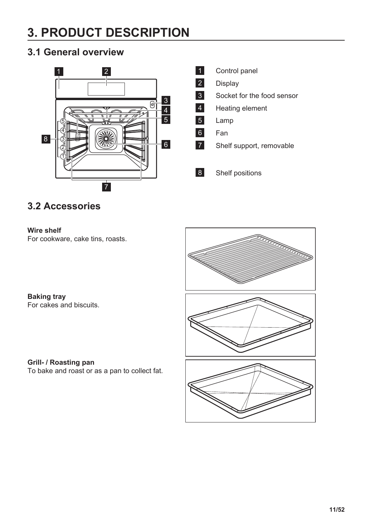# <span id="page-10-0"></span>**3. PRODUCT DESCRIPTION**

### **3.1 General overview**



 $\overline{1}$ Control panel  $\overline{2}$ Display  $3<sup>1</sup>$ Socket for the food sensor  $\overline{4}$ Heating element 5 Lamp  $6<sup>1</sup>$ Fan  $\overline{7}$ Shelf support, removable  $|8|$ Shelf positions

### **3.2 Accessories**

#### **Wire shelf**

For cookware, cake tins, roasts.

#### **Baking tray** For cakes and biscuits.

**Grill- / Roasting pan**

To bake and roast or as a pan to collect fat.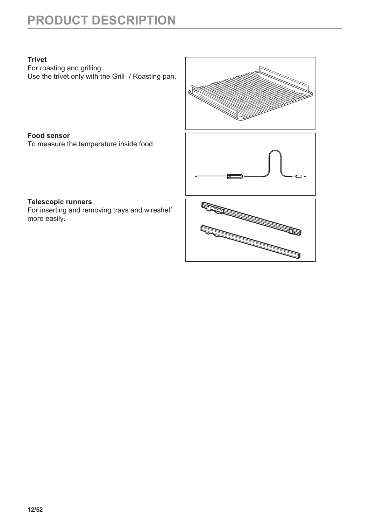# **PRODUCT DESCRIPTION**

#### **Trivet**

For roasting and grilling. Use the trivet only with the Grill- / Roasting pan.

### **Food sensor**

To measure the temperature inside food.



#### **Telescopic runners** For inserting and removing trays and wireshelf more easily.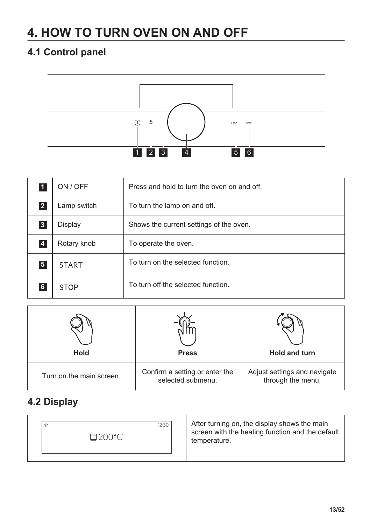# <span id="page-12-0"></span>**4. HOW TO TURN OVEN ON AND OFF**

### **4.1 Control panel**



| $\mathbf{1}$   | ON / OFF     | Press and hold to turn the oven on and off. |
|----------------|--------------|---------------------------------------------|
| 2 <sup>1</sup> | Lamp switch  | To turn the lamp on and off.                |
| 3 <sup>1</sup> | Display      | Shows the current settings of the oven.     |
| $\overline{4}$ | Rotary knob  | To operate the oven.                        |
| 5 <sub>5</sub> | <b>START</b> | To turn on the selected function.           |
| 6              | <b>STOP</b>  | To turn off the selected function.          |



### **4.2 Display**

| 12:30  | After turning on, the display shows the main     |
|--------|--------------------------------------------------|
| T      | screen with the heating function and the default |
| □200°C | temperature.                                     |
|        |                                                  |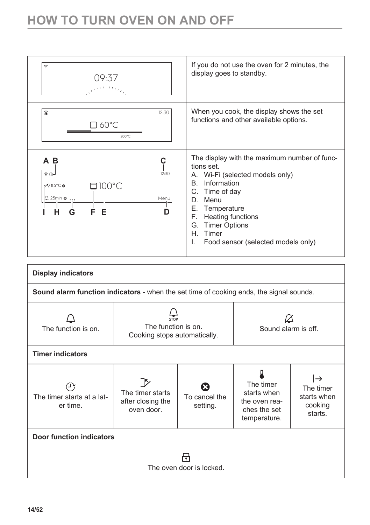### **HOW TO TURN OVEN ON AND OFF**



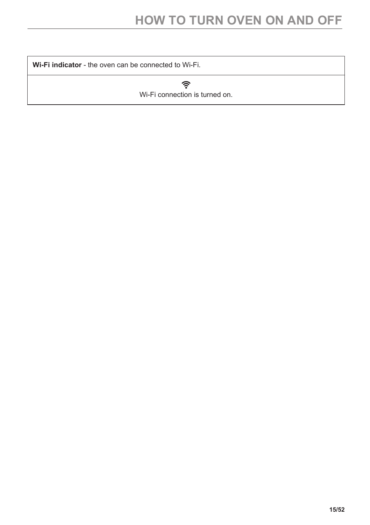**Wi-Fi indicator** - the oven can be connected to Wi-Fi.

 $\widehat{\mathcal{P}}$ Wi-Fi connection is turned on.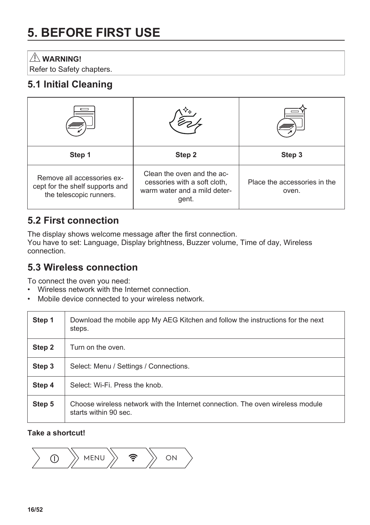# <span id="page-15-0"></span>**5. BEFORE FIRST USE**

#### **WARNING!**

Refer to Safety chapters.

### **5.1 Initial Cleaning**

| Step 1                                                                                   | Step 2                                                                                              | Step 3                                |
|------------------------------------------------------------------------------------------|-----------------------------------------------------------------------------------------------------|---------------------------------------|
| Remove all accessories ex-<br>cept for the shelf supports and<br>the telescopic runners. | Clean the oven and the ac-<br>cessories with a soft cloth,<br>warm water and a mild deter-<br>gent. | Place the accessories in the<br>oven. |

### **5.2 First connection**

The display shows welcome message after the first connection. You have to set: Language, Display brightness, Buzzer volume, Time of day, Wireless connection.

#### **5.3 Wireless connection**

To connect the oven you need:

- Wireless network with the Internet connection.
- Mobile device connected to your wireless network.

| Step 1 | Download the mobile app My AEG Kitchen and follow the instructions for the next<br>steps.               |
|--------|---------------------------------------------------------------------------------------------------------|
| Step 2 | Turn on the oven.                                                                                       |
| Step 3 | Select: Menu / Settings / Connections.                                                                  |
| Step 4 | Select: Wi-Fi. Press the knob.                                                                          |
| Step 5 | Choose wireless network with the Internet connection. The oven wireless module<br>starts within 90 sec. |

#### **Take a shortcut!**

 $MENU \rightarrow \mathbf{\hat{P}}$   $\rightarrow$  ON  $\odot$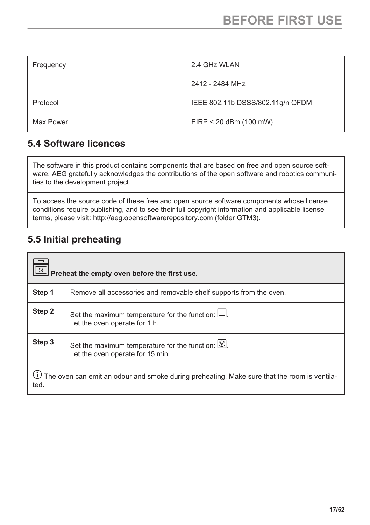<span id="page-16-0"></span>

| Frequency | 2.4 GHz WLAN                     |
|-----------|----------------------------------|
|           | 2412 - 2484 MHz                  |
| Protocol  | IEEE 802.11b DSSS/802.11g/n OFDM |
| Max Power | $EIRP < 20$ dBm (100 mW)         |

### **5.4 Software licences**

The software in this product contains components that are based on free and open source software. AEG gratefully acknowledges the contributions of the open software and robotics communities to the development project.

To access the source code of these free and open source software components whose license conditions require publishing, and to see their full copyright information and applicable license terms, please visit: http://aeg.opensoftwarerepository.com (folder GTM3).

### **5.5 Initial preheating**

| Preheat the empty oven before the first use.                                                                       |                                                                                         |
|--------------------------------------------------------------------------------------------------------------------|-----------------------------------------------------------------------------------------|
| Step 1                                                                                                             | Remove all accessories and removable shelf supports from the oven.                      |
| Step 2                                                                                                             | Set the maximum temperature for the function: $\Box$ .<br>Let the oven operate for 1 h. |
| Step 3                                                                                                             | Set the maximum temperature for the function: $[$<br>Let the oven operate for 15 min.   |
| $\bf{\dot{U}}$ The oven can emit an odour and smoke during preheating. Make sure that the room is ventila-<br>ted. |                                                                                         |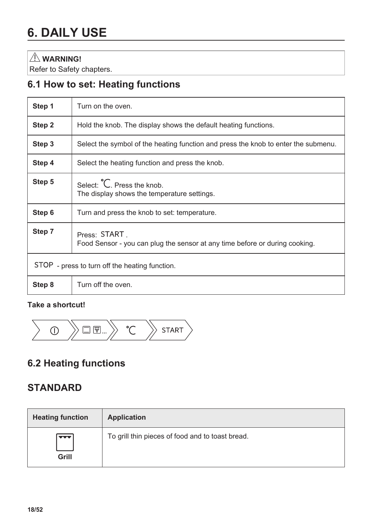#### <span id="page-17-0"></span> **WARNING!**

Refer to Safety chapters.

### **6.1 How to set: Heating functions**

| Step 1                                         | Turn on the oven.                                                                           |
|------------------------------------------------|---------------------------------------------------------------------------------------------|
| Step 2                                         | Hold the knob. The display shows the default heating functions.                             |
| Step 3                                         | Select the symbol of the heating function and press the knob to enter the submenu.          |
| Step 4                                         | Select the heating function and press the knob.                                             |
| Step 5                                         | Select: C. Press the knob.<br>The display shows the temperature settings.                   |
| Step 6                                         | Turn and press the knob to set: temperature.                                                |
| Step 7                                         | Press: START<br>Food Sensor - you can plug the sensor at any time before or during cooking. |
| STOP - press to turn off the heating function. |                                                                                             |
| Step 8                                         | Turn off the oven.                                                                          |

#### **Take a shortcut!**



### **6.2 Heating functions**

### **STANDARD**

| <b>Heating function</b>           | Application                                      |
|-----------------------------------|--------------------------------------------------|
| $\overline{\phantom{a}}$<br>Grill | To grill thin pieces of food and to toast bread. |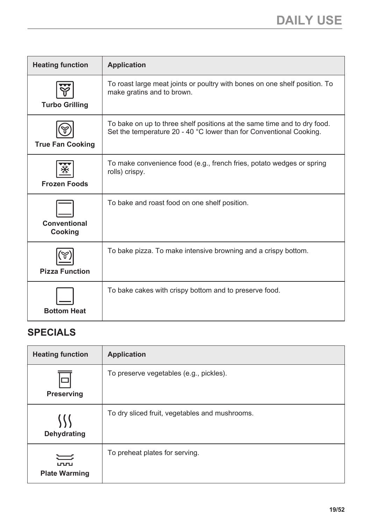| <b>Heating function</b> | <b>Application</b>                                                                                                                              |
|-------------------------|-------------------------------------------------------------------------------------------------------------------------------------------------|
| <b>Turbo Grilling</b>   | To roast large meat joints or poultry with bones on one shelf position. To<br>make gratins and to brown.                                        |
| <b>True Fan Cooking</b> | To bake on up to three shelf positions at the same time and to dry food.<br>Set the temperature 20 - 40 °C lower than for Conventional Cooking. |
| <b>Frozen Foods</b>     | To make convenience food (e.g., french fries, potato wedges or spring<br>rolls) crispy.                                                         |
| Conventional<br>Cooking | To bake and roast food on one shelf position.                                                                                                   |
| <b>Pizza Function</b>   | To bake pizza. To make intensive browning and a crispy bottom.                                                                                  |
| <b>Bottom Heat</b>      | To bake cakes with crispy bottom and to preserve food.                                                                                          |

### **SPECIALS**

| <b>Heating function</b>                   | <b>Application</b>                             |
|-------------------------------------------|------------------------------------------------|
| <b>Preserving</b>                         | To preserve vegetables (e.g., pickles).        |
| Dehydrating                               | To dry sliced fruit, vegetables and mushrooms. |
| 二<br><u>ununu</u><br><b>Plate Warming</b> | To preheat plates for serving.                 |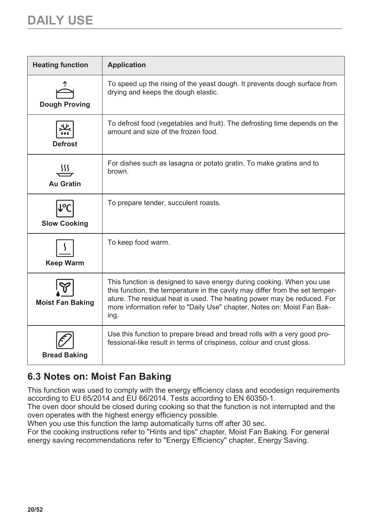<span id="page-19-0"></span>

| <b>Heating function</b>   | <b>Application</b>                                                                                                                                                                                                                                                                                                  |
|---------------------------|---------------------------------------------------------------------------------------------------------------------------------------------------------------------------------------------------------------------------------------------------------------------------------------------------------------------|
| <b>Dough Proving</b>      | To speed up the rising of the yeast dough. It prevents dough surface from<br>drying and keeps the dough elastic.                                                                                                                                                                                                    |
| <b>Defrost</b>            | To defrost food (vegetables and fruit). The defrosting time depends on the<br>amount and size of the frozen food.                                                                                                                                                                                                   |
| Au Gratin                 | For dishes such as lasagna or potato gratin. To make gratins and to<br>brown.                                                                                                                                                                                                                                       |
| o,<br><b>Slow Cooking</b> | To prepare tender, succulent roasts.                                                                                                                                                                                                                                                                                |
| <b>Keep Warm</b>          | To keep food warm.                                                                                                                                                                                                                                                                                                  |
| <b>Moist Fan Baking</b>   | This function is designed to save energy during cooking. When you use<br>this function, the temperature in the cavity may differ from the set temper-<br>ature. The residual heat is used. The heating power may be reduced. For<br>more information refer to "Daily Use" chapter, Notes on: Moist Fan Bak-<br>ing. |
| <b>Bread Baking</b>       | Use this function to prepare bread and bread rolls with a very good pro-<br>fessional-like result in terms of crispiness, colour and crust gloss.                                                                                                                                                                   |

### **6.3 Notes on: Moist Fan Baking**

This function was used to comply with the energy efficiency class and ecodesign requirements according to EU 65/2014 and EU 66/2014. Tests according to EN 60350-1.

The oven door should be closed during cooking so that the function is not interrupted and the oven operates with the highest energy efficiency possible.

When you use this function the lamp automatically turns off after 30 sec.

For the cooking instructions refer to "Hints and tips" chapter, Moist Fan Baking. For general energy saving recommendations refer to "Energy Efficiency" chapter, Energy Saving.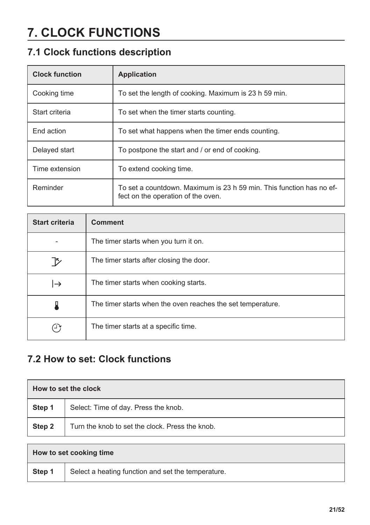# <span id="page-20-0"></span>**7. CLOCK FUNCTIONS**

### **7.1 Clock functions description**

| <b>Clock function</b> | Application                                                                                                |
|-----------------------|------------------------------------------------------------------------------------------------------------|
| Cooking time          | To set the length of cooking. Maximum is 23 h 59 min.                                                      |
| Start criteria        | To set when the timer starts counting.                                                                     |
| End action            | To set what happens when the timer ends counting.                                                          |
| Delayed start         | To postpone the start and / or end of cooking.                                                             |
| Time extension        | To extend cooking time.                                                                                    |
| Reminder              | To set a countdown. Maximum is 23 h 59 min. This function has no ef-<br>fect on the operation of the oven. |

| <b>Start criteria</b> | <b>Comment</b>                                              |
|-----------------------|-------------------------------------------------------------|
|                       | The timer starts when you turn it on.                       |
| 12                    | The timer starts after closing the door.                    |
| l→                    | The timer starts when cooking starts.                       |
|                       | The timer starts when the oven reaches the set temperature. |
| ، ر                   | The timer starts at a specific time.                        |

### **7.2 How to set: Clock functions**

| How to set the clock |                                                 |
|----------------------|-------------------------------------------------|
| Step 1               | Select: Time of day. Press the knob.            |
| Step 2               | Turn the knob to set the clock. Press the knob. |

| How to set cooking time |                                                    |
|-------------------------|----------------------------------------------------|
| Step 1                  | Select a heating function and set the temperature. |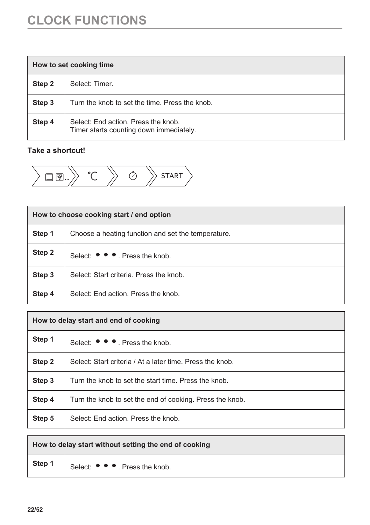# **CLOCK FUNCTIONS**

| How to set cooking time |                                                                                |
|-------------------------|--------------------------------------------------------------------------------|
| Step 2                  | Select: Timer.                                                                 |
| Step 3                  | Turn the knob to set the time. Press the knob.                                 |
| Step 4                  | Select: End action. Press the knob.<br>Timer starts counting down immediately. |

#### **Take a shortcut!**

$$
\begin{array}{|c|c|c|c|}\hline \text{START} & \text{C} & \text{S} \\ \hline \end{array}
$$

| How to choose cooking start / end option |                                                    |
|------------------------------------------|----------------------------------------------------|
| Step 1                                   | Choose a heating function and set the temperature. |
| Step 2                                   | Select: ● ● ● Press the knob.                      |
| Step 3                                   | Select: Start criteria. Press the knob.            |
| Step 4                                   | Select: End action. Press the knob.                |

| How to delay start and end of cooking |                                                           |
|---------------------------------------|-----------------------------------------------------------|
| Step 1                                | Select: $\bullet \bullet \bullet$ . Press the knob.       |
| Step 2                                | Select: Start criteria / At a later time. Press the knob. |
| Step 3                                | Turn the knob to set the start time. Press the knob.      |
| Step 4                                | Turn the knob to set the end of cooking. Press the knob.  |
| Step 5                                | Select: End action. Press the knob.                       |

| How to delay start without setting the end of cooking |                               |
|-------------------------------------------------------|-------------------------------|
| Step 1                                                | Select: ● ● ● Press the knob. |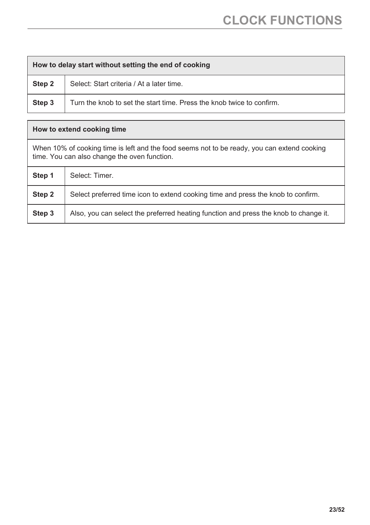| How to delay start without setting the end of cooking |                                                                       |
|-------------------------------------------------------|-----------------------------------------------------------------------|
| Step 2                                                | Select: Start criteria / At a later time.                             |
| Step 3                                                | Turn the knob to set the start time. Press the knob twice to confirm. |
|                                                       |                                                                       |

| How to extend cooking time                                                                                                                  |                                                                                      |
|---------------------------------------------------------------------------------------------------------------------------------------------|--------------------------------------------------------------------------------------|
| When 10% of cooking time is left and the food seems not to be ready, you can extend cooking<br>time. You can also change the oven function. |                                                                                      |
| Step 1                                                                                                                                      | Select: Timer.                                                                       |
| Step 2                                                                                                                                      | Select preferred time icon to extend cooking time and press the knob to confirm.     |
| Step 3                                                                                                                                      | Also, you can select the preferred heating function and press the knob to change it. |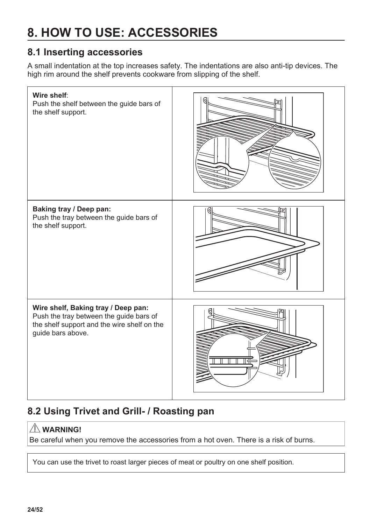# <span id="page-23-0"></span>**8. HOW TO USE: ACCESSORIES**

### **8.1 Inserting accessories**

A small indentation at the top increases safety. The indentations are also anti-tip devices. The high rim around the shelf prevents cookware from slipping of the shelf.



### **8.2 Using Trivet and Grill- / Roasting pan**

### **WARNING!**

Be careful when you remove the accessories from a hot oven. There is a risk of burns.

You can use the trivet to roast larger pieces of meat or poultry on one shelf position.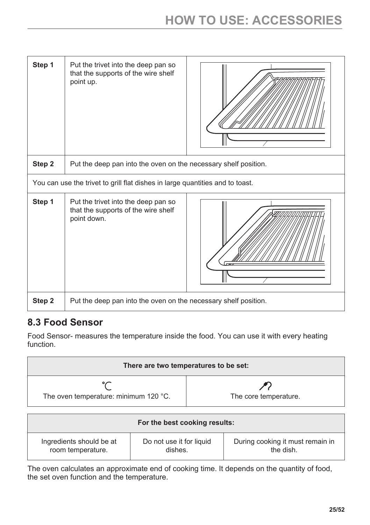<span id="page-24-0"></span>

| Step 1 | Put the trivet into the deep pan so<br>that the supports of the wire shelf<br>point up.   |  |  |  |
|--------|-------------------------------------------------------------------------------------------|--|--|--|
| Step 2 | Put the deep pan into the oven on the necessary shelf position.                           |  |  |  |
|        | You can use the trivet to grill flat dishes in large quantities and to toast.             |  |  |  |
| Step 1 | Put the trivet into the deep pan so<br>that the supports of the wire shelf<br>point down. |  |  |  |
| Step 2 | Put the deep pan into the oven on the necessary shelf position.                           |  |  |  |

### **8.3 Food Sensor**

Food Sensor- measures the temperature inside the food. You can use it with every heating function.

| There are two temperatures to be set: |                       |  |  |
|---------------------------------------|-----------------------|--|--|
| The oven temperature: minimum 120 °C. | The core temperature. |  |  |

| For the best cooking results: |                          |                                  |  |
|-------------------------------|--------------------------|----------------------------------|--|
| Ingredients should be at      | Do not use it for liquid | During cooking it must remain in |  |
| room temperature.             | dishes.                  | the dish.                        |  |

The oven calculates an approximate end of cooking time. It depends on the quantity of food, the set oven function and the temperature.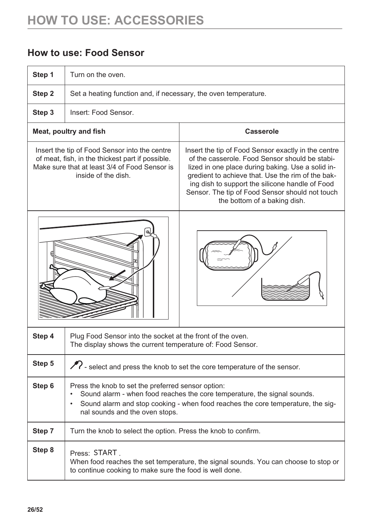### **How to use: Food Sensor**

| Step 1                                                                                                                                                                    | Turn on the oven.                                                                                                                                                                                                                                                |                                                                                                                                                                                                                                                                                                                                                       |  |  |
|---------------------------------------------------------------------------------------------------------------------------------------------------------------------------|------------------------------------------------------------------------------------------------------------------------------------------------------------------------------------------------------------------------------------------------------------------|-------------------------------------------------------------------------------------------------------------------------------------------------------------------------------------------------------------------------------------------------------------------------------------------------------------------------------------------------------|--|--|
| Step 2                                                                                                                                                                    | Set a heating function and, if necessary, the oven temperature.                                                                                                                                                                                                  |                                                                                                                                                                                                                                                                                                                                                       |  |  |
| Step 3                                                                                                                                                                    | Insert: Food Sensor.                                                                                                                                                                                                                                             |                                                                                                                                                                                                                                                                                                                                                       |  |  |
|                                                                                                                                                                           | Meat, poultry and fish                                                                                                                                                                                                                                           | Casserole                                                                                                                                                                                                                                                                                                                                             |  |  |
| Insert the tip of Food Sensor into the centre<br>of meat, fish, in the thickest part if possible.<br>Make sure that at least 3/4 of Food Sensor is<br>inside of the dish. |                                                                                                                                                                                                                                                                  | Insert the tip of Food Sensor exactly in the centre<br>of the casserole. Food Sensor should be stabi-<br>lized in one place during baking. Use a solid in-<br>gredient to achieve that. Use the rim of the bak-<br>ing dish to support the silicone handle of Food<br>Sensor. The tip of Food Sensor should not touch<br>the bottom of a baking dish. |  |  |
|                                                                                                                                                                           |                                                                                                                                                                                                                                                                  |                                                                                                                                                                                                                                                                                                                                                       |  |  |
| Step 4                                                                                                                                                                    | Plug Food Sensor into the socket at the front of the oven.<br>The display shows the current temperature of: Food Sensor.                                                                                                                                         |                                                                                                                                                                                                                                                                                                                                                       |  |  |
| Step 5                                                                                                                                                                    |                                                                                                                                                                                                                                                                  | >>> select and press the knob to set the core temperature of the sensor.                                                                                                                                                                                                                                                                              |  |  |
| Step 6                                                                                                                                                                    | Press the knob to set the preferred sensor option:<br>Sound alarm - when food reaches the core temperature, the signal sounds.<br>Sound alarm and stop cooking - when food reaches the core temperature, the sig-<br>$\bullet$<br>nal sounds and the oven stops. |                                                                                                                                                                                                                                                                                                                                                       |  |  |
| Step 7                                                                                                                                                                    | Turn the knob to select the option. Press the knob to confirm.                                                                                                                                                                                                   |                                                                                                                                                                                                                                                                                                                                                       |  |  |
| Step 8                                                                                                                                                                    | Press: START<br>When food reaches the set temperature, the signal sounds. You can choose to stop or<br>to continue cooking to make sure the food is well done.                                                                                                   |                                                                                                                                                                                                                                                                                                                                                       |  |  |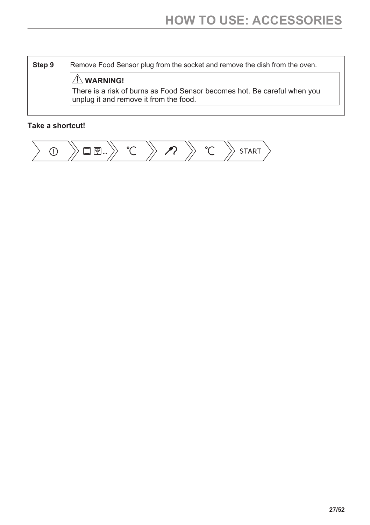| Step 9 | Remove Food Sensor plug from the socket and remove the dish from the oven.                                                               |
|--------|------------------------------------------------------------------------------------------------------------------------------------------|
|        | $\mathbb{A}$ WARNING!<br>There is a risk of burns as Food Sensor becomes hot. Be careful when you unplug it and remove it from the food. |

#### **Take a shortcut!**

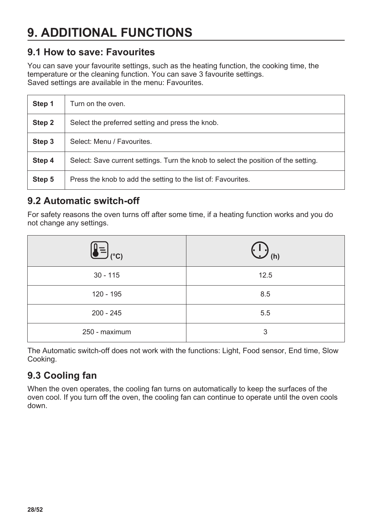# <span id="page-27-0"></span>**9. ADDITIONAL FUNCTIONS**

### **9.1 How to save: Favourites**

You can save your favourite settings, such as the heating function, the cooking time, the temperature or the cleaning function. You can save 3 favourite settings. Saved settings are available in the menu: Favourites.

| Step 1 | Turn on the oven.                                                                   |
|--------|-------------------------------------------------------------------------------------|
| Step 2 | Select the preferred setting and press the knob.                                    |
| Step 3 | Select: Menu / Favourites.                                                          |
| Step 4 | Select: Save current settings. Turn the knob to select the position of the setting. |
| Step 5 | Press the knob to add the setting to the list of: Favourites.                       |

### **9.2 Automatic switch-off**

For safety reasons the oven turns off after some time, if a heating function works and you do not change any settings.

| J (°C)        | $\prime$ (h)<br>$\overline{\phantom{a}}$ |
|---------------|------------------------------------------|
| $30 - 115$    | 12.5                                     |
| 120 - 195     | 8.5                                      |
| $200 - 245$   | 5.5                                      |
| 250 - maximum | 3                                        |

The Automatic switch-off does not work with the functions: Light, Food sensor, End time, Slow Cooking.

### **9.3 Cooling fan**

When the oven operates, the cooling fan turns on automatically to keep the surfaces of the oven cool. If you turn off the oven, the cooling fan can continue to operate until the oven cools down.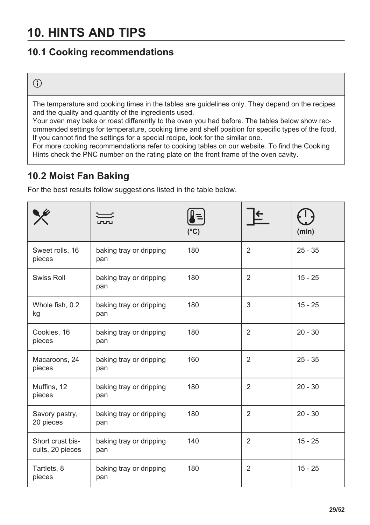### <span id="page-28-0"></span>**10. HINTS AND TIPS**

### **10.1 Cooking recommendations**

### $\mathbf{\hat{i}}$

The temperature and cooking times in the tables are guidelines only. They depend on the recipes and the quality and quantity of the ingredients used.

Your oven may bake or roast differently to the oven you had before. The tables below show recommended settings for temperature, cooking time and shelf position for specific types of the food. If you cannot find the settings for a special recipe, look for the similar one.

For more cooking recommendations refer to cooking tables on our website. To find the Cooking Hints check the PNC number on the rating plate on the front frame of the oven cavity.

### **10.2 Moist Fan Baking**

For the best results follow suggestions listed in the table below.

|                                      |                                | $(^{\circ}C)$ |                | (min)     |
|--------------------------------------|--------------------------------|---------------|----------------|-----------|
| Sweet rolls, 16<br>pieces            | baking tray or dripping<br>pan | 180           | 2              | $25 - 35$ |
| Swiss Roll                           | baking tray or dripping<br>pan | 180           | 2              | $15 - 25$ |
| Whole fish, 0.2<br>kg                | baking tray or dripping<br>pan | 180           | 3              | $15 - 25$ |
| Cookies, 16<br>pieces                | baking tray or dripping<br>pan | 180           | $\overline{2}$ | $20 - 30$ |
| Macaroons, 24<br>pieces              | baking tray or dripping<br>pan | 160           | 2              | $25 - 35$ |
| Muffins, 12<br>pieces                | baking tray or dripping<br>pan | 180           | 2              | $20 - 30$ |
| Savory pastry,<br>20 pieces          | baking tray or dripping<br>pan | 180           | 2              | $20 - 30$ |
| Short crust bis-<br>cuits, 20 pieces | baking tray or dripping<br>pan | 140           | 2              | $15 - 25$ |
| Tartlets, 8<br>pieces                | baking tray or dripping<br>pan | 180           | 2              | $15 - 25$ |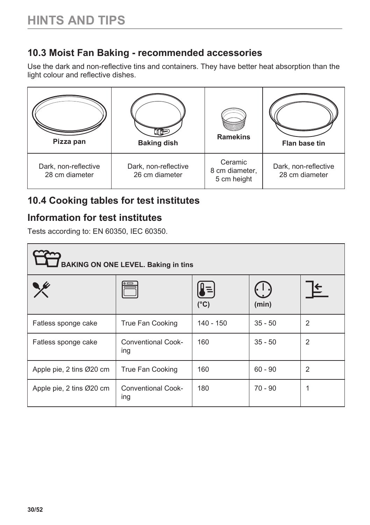### <span id="page-29-0"></span>**10.3 Moist Fan Baking - recommended accessories**

Use the dark and non-reflective tins and containers. They have better heat absorption than the light colour and reflective dishes.

| Pizza pan                              | <b>Baking dish</b>                     | <b>Ramekins</b>                          | Flan base tin                          |
|----------------------------------------|----------------------------------------|------------------------------------------|----------------------------------------|
| Dark, non-reflective<br>28 cm diameter | Dark, non-reflective<br>26 cm diameter | Ceramic<br>8 cm diameter,<br>5 cm height | Dark, non-reflective<br>28 cm diameter |

### **10.4 Cooking tables for test institutes**

### **Information for test institutes**

Tests according to: EN 60350, IEC 60350.

| <b>BAKING ON ONE LEVEL. Baking in tins</b> |                                  |                     |           |                |  |  |
|--------------------------------------------|----------------------------------|---------------------|-----------|----------------|--|--|
|                                            |                                  | ļ≡<br>$(^{\circ}C)$ | (min)     |                |  |  |
| Fatless sponge cake                        | True Fan Cooking                 | 140 - 150           | $35 - 50$ | $\overline{2}$ |  |  |
| Fatless sponge cake                        | Conventional Cook-<br>ing        | 160                 | $35 - 50$ | $\overline{2}$ |  |  |
| Apple pie, 2 tins Ø20 cm                   | True Fan Cooking                 | 160                 | $60 - 90$ | $\overline{2}$ |  |  |
| Apple pie, 2 tins Ø20 cm                   | <b>Conventional Cook-</b><br>ing | 180                 | 70 - 90   |                |  |  |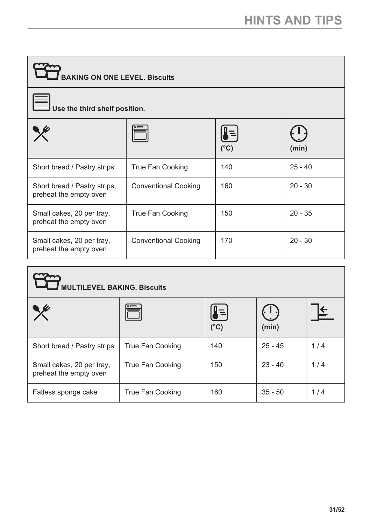| <b>BAKING ON ONE LEVEL. Biscuits</b>                   |                             |            |           |  |  |
|--------------------------------------------------------|-----------------------------|------------|-----------|--|--|
| Use the third shelf position.                          |                             |            |           |  |  |
|                                                        |                             | ļ≡<br>(°C) | (min)     |  |  |
| Short bread / Pastry strips                            | True Fan Cooking            | 140        | $25 - 40$ |  |  |
| Short bread / Pastry strips,<br>preheat the empty oven | <b>Conventional Cooking</b> | 160        | $20 - 30$ |  |  |
| Small cakes, 20 per tray,<br>preheat the empty oven    | True Fan Cooking            | 150        | $20 - 35$ |  |  |
| Small cakes, 20 per tray,<br>preheat the empty oven    | <b>Conventional Cooking</b> | 170        | $20 - 30$ |  |  |

| <b>ULTILEVEL BAKING. Biscuits</b>                   |                  |               |                              |     |  |  |
|-----------------------------------------------------|------------------|---------------|------------------------------|-----|--|--|
|                                                     |                  | $(^{\circ}C)$ | $(\cdot\; \;\cdot)$<br>(min) |     |  |  |
| Short bread / Pastry strips                         | True Fan Cooking | 140           | $25 - 45$                    | 1/4 |  |  |
| Small cakes, 20 per tray,<br>preheat the empty oven | True Fan Cooking | 150           | $23 - 40$                    | 1/4 |  |  |
| Fatless sponge cake                                 | True Fan Cooking | 160           | $35 - 50$                    | 1/4 |  |  |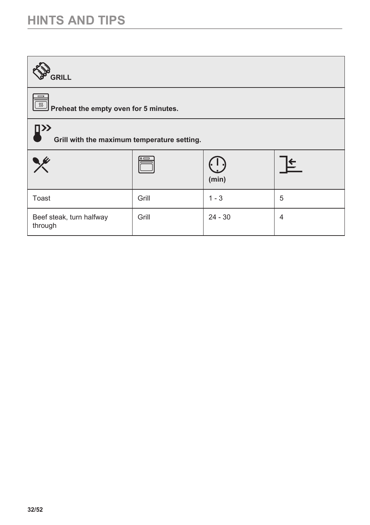### **HINTS AND TIPS**

| <b>GRILL</b>                                             |       |           |                |
|----------------------------------------------------------|-------|-----------|----------------|
| <b>SET Preheat the empty oven for 5 minutes.</b>         |       |           |                |
| $\square$<br>Grill with the maximum temperature setting. |       |           |                |
|                                                          |       | (min)     | ⋐              |
| Toast                                                    | Grill | $1 - 3$   | 5              |
| Beef steak, turn halfway<br>through                      | Grill | $24 - 30$ | $\overline{4}$ |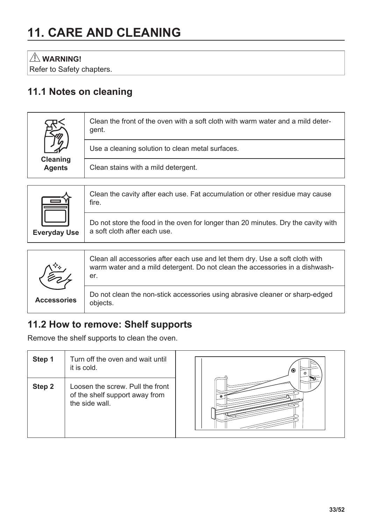# <span id="page-32-0"></span>**11. CARE AND CLEANING**

 **WARNING!**

Refer to Safety chapters.

### **11.1 Notes on cleaning**

| Cleaning<br><b>Agents</b> | Clean the front of the oven with a soft cloth with warm water and a mild deter-<br>gent. |
|---------------------------|------------------------------------------------------------------------------------------|
|                           | Use a cleaning solution to clean metal surfaces.                                         |
|                           | Clean stains with a mild detergent.                                                      |





### **11.2 How to remove: Shelf supports**

Remove the shelf supports to clean the oven.

| Step 1 | Turn off the oven and wait until<br>it is cold.                                      | o |
|--------|--------------------------------------------------------------------------------------|---|
| Step 2 | Loosen the screw. Pull the front<br>of the shelf support away from<br>the side wall. |   |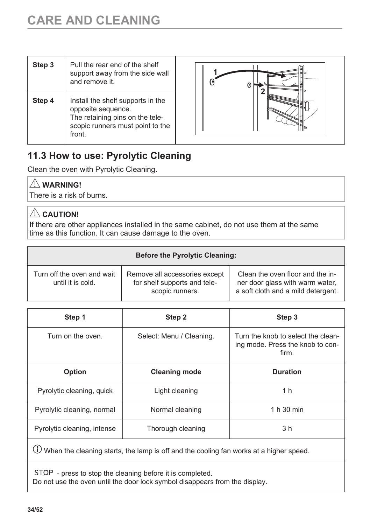<span id="page-33-0"></span>

| Step 3 | Pull the rear end of the shelf<br>support away from the side wall<br>and remove it                                                      |
|--------|-----------------------------------------------------------------------------------------------------------------------------------------|
| Step 4 | Install the shelf supports in the<br>opposite sequence.<br>The retaining pins on the tele-<br>scopic runners must point to the<br>front |



### **11.3 How to use: Pyrolytic Cleaning**

Clean the oven with Pyrolytic Cleaning.

### **WARNING!**

There is a risk of burns.

### $\triangle$  CAUTION!

If there are other appliances installed in the same cabinet, do not use them at the same time as this function. It can cause damage to the oven.

| <b>Before the Pyrolytic Cleaning:</b>           |                                                                                  |                                                                                                           |
|-------------------------------------------------|----------------------------------------------------------------------------------|-----------------------------------------------------------------------------------------------------------|
| Turn off the oven and wait<br>until it is cold. | Remove all accessories except<br>for shelf supports and tele-<br>scopic runners. | Clean the oven floor and the in-<br>ner door glass with warm water,<br>a soft cloth and a mild detergent. |

| Step 1                      | Step 2                   | Step 3                                                                          |
|-----------------------------|--------------------------|---------------------------------------------------------------------------------|
| Turn on the oven.           | Select: Menu / Cleaning. | Turn the knob to select the clean-<br>ing mode. Press the knob to con-<br>firm. |
| <b>Option</b>               | <b>Cleaning mode</b>     | <b>Duration</b>                                                                 |
| Pyrolytic cleaning, quick   | Light cleaning           | 1 <sub>h</sub>                                                                  |
| Pyrolytic cleaning, normal  | Normal cleaning          | 1 h 30 min                                                                      |
| Pyrolytic cleaning, intense | Thorough cleaning        | 3 <sub>h</sub>                                                                  |

 $\overline{\mathbb{O}}$  When the cleaning starts, the lamp is off and the cooling fan works at a higher speed.

STOP - press to stop the cleaning before it is completed. Do not use the oven until the door lock symbol disappears from the display.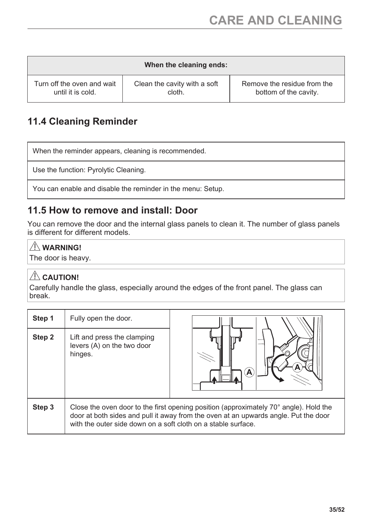<span id="page-34-0"></span>

| When the cleaning ends:    |                              |                             |
|----------------------------|------------------------------|-----------------------------|
| Turn off the oven and wait | Clean the cavity with a soft | Remove the residue from the |
| until it is cold.          | cloth.                       | bottom of the cavity.       |

### **11.4 Cleaning Reminder**

When the reminder appears, cleaning is recommended.

Use the function: Pyrolytic Cleaning.

You can enable and disable the reminder in the menu: Setup.

### **11.5 How to remove and install: Door**

You can remove the door and the internal glass panels to clean it. The number of glass panels is different for different models.

### **WARNING!**

The door is heavy.

#### $\triangle$  CAUTION!

Carefully handle the glass, especially around the edges of the front panel. The glass can break.

| Step 1 | Fully open the door.                                                                                                                                                                                                                                   |   |
|--------|--------------------------------------------------------------------------------------------------------------------------------------------------------------------------------------------------------------------------------------------------------|---|
| Step 2 | Lift and press the clamping<br>levers (A) on the two door<br>hinges.                                                                                                                                                                                   | А |
| Step 3 | Close the oven door to the first opening position (approximately $70^{\circ}$ angle). Hold the<br>door at both sides and pull it away from the oven at an upwards angle. Put the door<br>with the outer side down on a soft cloth on a stable surface. |   |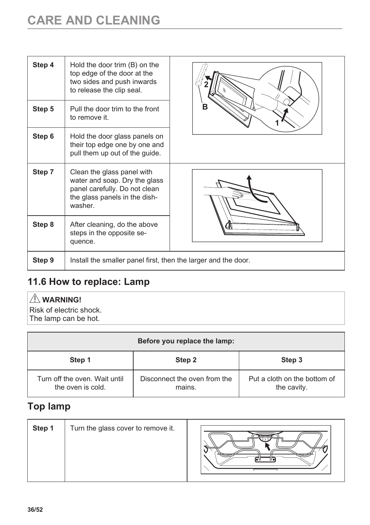# <span id="page-35-0"></span>**CARE AND CLEANING**

| Step 4 | Hold the door trim (B) on the<br>top edge of the door at the<br>two sides and push inwards<br>to release the clip seal.                  |   |
|--------|------------------------------------------------------------------------------------------------------------------------------------------|---|
| Step 5 | Pull the door trim to the front<br>to remove it.                                                                                         | в |
| Step 6 | Hold the door glass panels on<br>their top edge one by one and<br>pull them up out of the guide.                                         |   |
| Step 7 | Clean the glass panel with<br>water and soap. Dry the glass<br>panel carefully. Do not clean<br>the glass panels in the dish-<br>washer. |   |
| Step 8 | After cleaning, do the above<br>steps in the opposite se-<br>quence.                                                                     |   |
| Step 9 | Install the smaller panel first, then the larger and the door.                                                                           |   |

### **11.6 How to replace: Lamp**

### **WARNING!**

Risk of electric shock. The lamp can be hot.

| Before you replace the lamp:                       |                                        |                                             |
|----------------------------------------------------|----------------------------------------|---------------------------------------------|
| Step 1                                             | Step 2                                 | Step 3                                      |
| Turn off the oven. Wait until<br>the oven is cold. | Disconnect the oven from the<br>mains. | Put a cloth on the bottom of<br>the cavity. |

### **Top lamp**

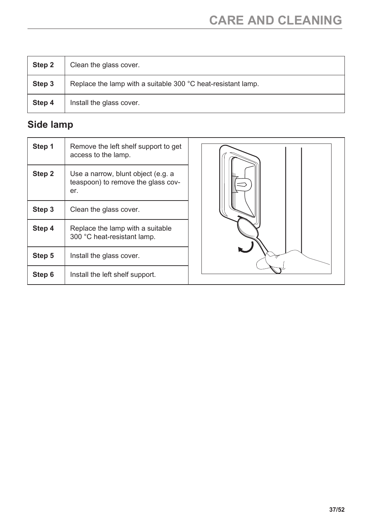| Step 2 | Clean the glass cover.                                       |
|--------|--------------------------------------------------------------|
| Step 3 | Replace the lamp with a suitable 300 °C heat-resistant lamp. |
| Step 4 | Install the glass cover.                                     |

### **Side lamp**

| Step 1 | Remove the left shelf support to get<br>access to the lamp.                     |  |
|--------|---------------------------------------------------------------------------------|--|
| Step 2 | Use a narrow, blunt object (e.g. a<br>teaspoon) to remove the glass cov-<br>er. |  |
| Step 3 | Clean the glass cover.                                                          |  |
| Step 4 | Replace the lamp with a suitable<br>300 °C heat-resistant lamp.                 |  |
| Step 5 | Install the glass cover.                                                        |  |
| Step 6 | Install the left shelf support.                                                 |  |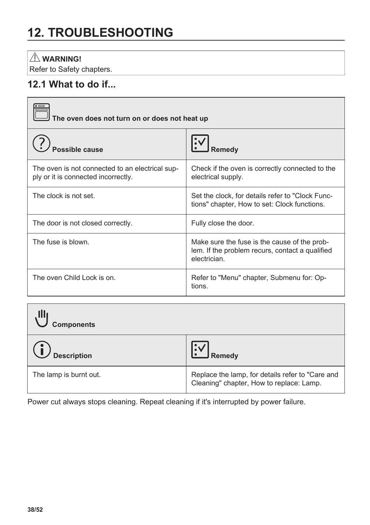# <span id="page-37-0"></span>**12. TROUBLESHOOTING**

### **WARNING!**

Refer to Safety chapters.

### **12.1 What to do if...**

| The oven does not turn on or does not heat up                                          |                                                                                                                 |
|----------------------------------------------------------------------------------------|-----------------------------------------------------------------------------------------------------------------|
| <b>Possible cause</b>                                                                  | Remedy                                                                                                          |
| The oven is not connected to an electrical sup-<br>ply or it is connected incorrectly. | Check if the oven is correctly connected to the<br>electrical supply.                                           |
| The clock is not set.                                                                  | Set the clock, for details refer to "Clock Func-<br>tions" chapter, How to set: Clock functions.                |
| The door is not closed correctly.                                                      | Fully close the door.                                                                                           |
| The fuse is blown.                                                                     | Make sure the fuse is the cause of the prob-<br>lem. If the problem recurs, contact a qualified<br>electrician. |
| The oven Child Lock is on.                                                             | Refer to "Menu" chapter, Submenu for: Op-<br>tions.                                                             |

| , Illj<br><b>Components</b> |                                                                                              |
|-----------------------------|----------------------------------------------------------------------------------------------|
| <b>Description</b>          | ı:√<br><b>J</b> Remedy                                                                       |
| The lamp is burnt out.      | Replace the lamp, for details refer to "Care and<br>Cleaning" chapter, How to replace: Lamp. |

Power cut always stops cleaning. Repeat cleaning if it's interrupted by power failure.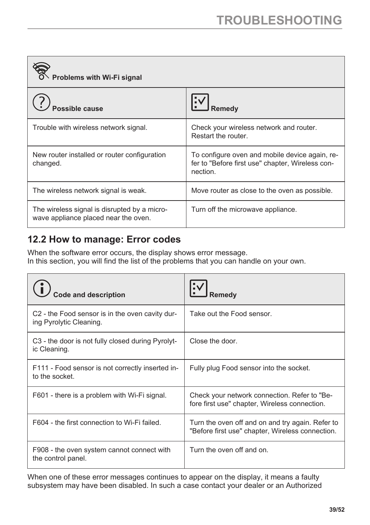<span id="page-38-0"></span>

| Problems with Wi-Fi signal                                                           |                                                                                                                |
|--------------------------------------------------------------------------------------|----------------------------------------------------------------------------------------------------------------|
| ossible cause                                                                        | Remedy                                                                                                         |
| Trouble with wireless network signal.                                                | Check your wireless network and router.<br>Restart the router.                                                 |
| New router installed or router configuration<br>changed.                             | To configure oven and mobile device again, re-<br>fer to "Before first use" chapter, Wireless con-<br>nection. |
| The wireless network signal is weak.                                                 | Move router as close to the oven as possible.                                                                  |
| The wireless signal is disrupted by a micro-<br>wave appliance placed near the oven. | Turn off the microwave appliance.                                                                              |

### **12.2 How to manage: Error codes**

When the software error occurs, the display shows error message. In this section, you will find the list of the problems that you can handle on your own.

| Code and description                                                       | Remedy                                                                                               |
|----------------------------------------------------------------------------|------------------------------------------------------------------------------------------------------|
| C2 - the Food sensor is in the oven cavity dur-<br>ing Pyrolytic Cleaning. | Take out the Food sensor.                                                                            |
| C3 - the door is not fully closed during Pyrolyt-<br>ic Cleaning.          | Close the door.                                                                                      |
| F111 - Food sensor is not correctly inserted in-<br>to the socket.         | Fully plug Food sensor into the socket.                                                              |
| F601 - there is a problem with Wi-Fi signal.                               | Check your network connection. Refer to "Be-<br>fore first use" chapter, Wireless connection.        |
| F604 - the first connection to Wi-Fi failed.                               | Turn the oven off and on and try again. Refer to<br>"Before first use" chapter, Wireless connection. |
| F908 - the oven system cannot connect with<br>the control panel.           | Turn the oven off and on.                                                                            |

When one of these error messages continues to appear on the display, it means a faulty subsystem may have been disabled. In such a case contact your dealer or an Authorized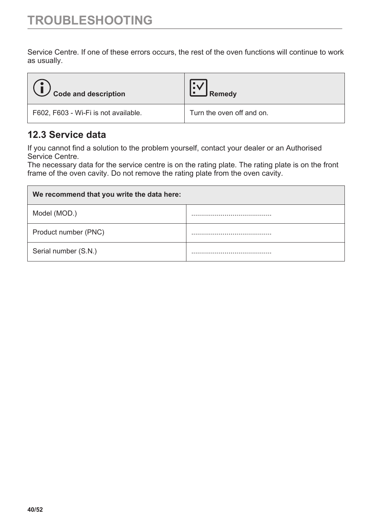<span id="page-39-0"></span>Service Centre. If one of these errors occurs, the rest of the oven functions will continue to work as usually.

| Code and description                 | Remedy                    |
|--------------------------------------|---------------------------|
| F602, F603 - Wi-Fi is not available. | Turn the oven off and on. |

### **12.3 Service data**

If you cannot find a solution to the problem yourself, contact your dealer or an Authorised Service Centre.

The necessary data for the service centre is on the rating plate. The rating plate is on the front frame of the oven cavity. Do not remove the rating plate from the oven cavity.

| We recommend that you write the data here: |  |
|--------------------------------------------|--|
| Model (MOD.)                               |  |
| Product number (PNC)                       |  |
| Serial number (S.N.)                       |  |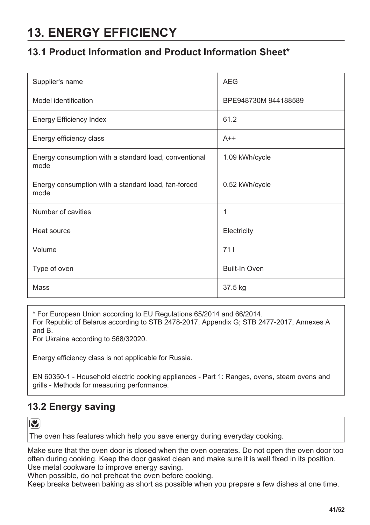# <span id="page-40-0"></span>**13. ENERGY EFFICIENCY**

### **13.1 Product Information and Product Information Sheet\***

| Supplier's name                                               | <b>AEG</b>           |
|---------------------------------------------------------------|----------------------|
| Model identification                                          | BPE948730M 944188589 |
| Energy Efficiency Index                                       | 61.2                 |
| Energy efficiency class                                       | $A++$                |
| Energy consumption with a standard load, conventional<br>mode | 1.09 kWh/cycle       |
| Energy consumption with a standard load, fan-forced<br>mode   | 0.52 kWh/cycle       |
| Number of cavities                                            | 1                    |
| Heat source                                                   | Electricity          |
| Volume                                                        | 711                  |
| Type of oven                                                  | <b>Built-In Oven</b> |
| Mass                                                          | 37.5 kg              |

\* For European Union according to EU Regulations 65/2014 and 66/2014.

For Republic of Belarus according to STB 2478-2017, Appendix G; STB 2477-2017, Annexes A and B.

For Ukraine according to 568/32020.

Energy efficiency class is not applicable for Russia.

EN 60350-1 - Household electric cooking appliances - Part 1: Ranges, ovens, steam ovens and grills - Methods for measuring performance.

### **13.2 Energy saving**

**Y** 

The oven has features which help you save energy during everyday cooking.

Make sure that the oven door is closed when the oven operates. Do not open the oven door too often during cooking. Keep the door gasket clean and make sure it is well fixed in its position. Use metal cookware to improve energy saving.

When possible, do not preheat the oven before cooking.

Keep breaks between baking as short as possible when you prepare a few dishes at one time.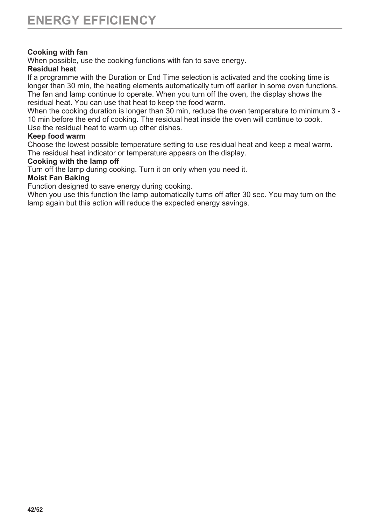#### **Cooking with fan**

When possible, use the cooking functions with fan to save energy.

#### **Residual heat**

If a programme with the Duration or End Time selection is activated and the cooking time is longer than 30 min, the heating elements automatically turn off earlier in some oven functions. The fan and lamp continue to operate. When you turn off the oven, the display shows the residual heat. You can use that heat to keep the food warm.

When the cooking duration is longer than 30 min, reduce the oven temperature to minimum 3 - 10 min before the end of cooking. The residual heat inside the oven will continue to cook. Use the residual heat to warm up other dishes.

#### **Keep food warm**

Choose the lowest possible temperature setting to use residual heat and keep a meal warm. The residual heat indicator or temperature appears on the display.

#### **Cooking with the lamp off**

Turn off the lamp during cooking. Turn it on only when you need it.

#### **Moist Fan Baking**

Function designed to save energy during cooking.

When you use this function the lamp automatically turns off after 30 sec. You may turn on the lamp again but this action will reduce the expected energy savings.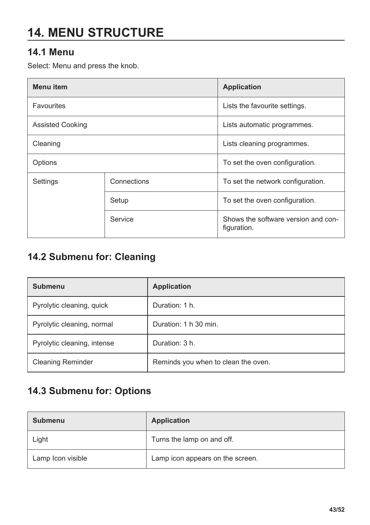# <span id="page-42-0"></span>**14. MENU STRUCTURE**

### **14.1 Menu**

Select: Menu and press the knob.

| Menu item               |             | <b>Application</b>                                 |  |
|-------------------------|-------------|----------------------------------------------------|--|
| Favourites              |             | Lists the favourite settings.                      |  |
| <b>Assisted Cooking</b> |             | Lists automatic programmes.                        |  |
| Cleaning                |             | Lists cleaning programmes.                         |  |
| Options                 |             | To set the oven configuration.                     |  |
| Settings                | Connections | To set the network configuration.                  |  |
|                         | Setup       | To set the oven configuration.                     |  |
|                         | Service     | Shows the software version and con-<br>figuration. |  |

### **14.2 Submenu for: Cleaning**

| <b>Submenu</b>              | <b>Application</b>                  |
|-----------------------------|-------------------------------------|
| Pyrolytic cleaning, quick   | Duration: 1 h.                      |
| Pyrolytic cleaning, normal  | Duration: 1 h 30 min.               |
| Pyrolytic cleaning, intense | Duration: 3 h.                      |
| <b>Cleaning Reminder</b>    | Reminds you when to clean the oven. |

### **14.3 Submenu for: Options**

| <b>Submenu</b>    | <b>Application</b>               |
|-------------------|----------------------------------|
| Light             | Turns the lamp on and off.       |
| Lamp Icon visible | Lamp icon appears on the screen. |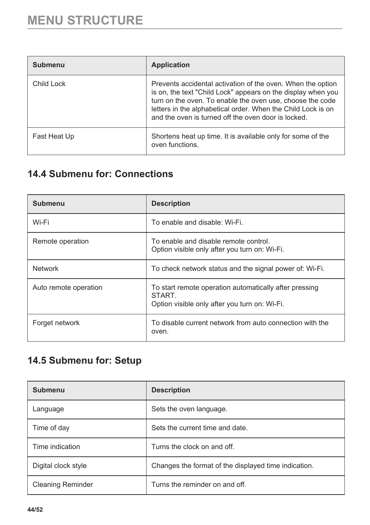<span id="page-43-0"></span>

| Submenu      | <b>Application</b>                                                                                                                                                                                                                                                                                              |
|--------------|-----------------------------------------------------------------------------------------------------------------------------------------------------------------------------------------------------------------------------------------------------------------------------------------------------------------|
| Child Lock   | Prevents accidental activation of the oven. When the option<br>is on, the text "Child Lock" appears on the display when you<br>turn on the oven. To enable the oven use, choose the code<br>letters in the alphabetical order. When the Child Lock is on<br>and the oven is turned off the oven door is locked. |
| Fast Heat Up | Shortens heat up time. It is available only for some of the<br>oven functions.                                                                                                                                                                                                                                  |

### **14.4 Submenu for: Connections**

| Submenu               | <b>Description</b>                                                                                                      |
|-----------------------|-------------------------------------------------------------------------------------------------------------------------|
| Wi-Fi                 | To enable and disable: Wi-Fi.                                                                                           |
| Remote operation      | To enable and disable remote control.<br>Option visible only after you turn on: Wi-Fi.                                  |
| <b>Network</b>        | To check network status and the signal power of: Wi-Fi.                                                                 |
| Auto remote operation | To start remote operation automatically after pressing<br><b>START</b><br>Option visible only after you turn on: Wi-Fi. |
| Forget network        | To disable current network from auto connection with the<br>oven.                                                       |

### **14.5 Submenu for: Setup**

| <b>Submenu</b>           | <b>Description</b>                                   |
|--------------------------|------------------------------------------------------|
| Language                 | Sets the oven language.                              |
| Time of day              | Sets the current time and date.                      |
| Time indication          | Turns the clock on and off.                          |
| Digital clock style      | Changes the format of the displayed time indication. |
| <b>Cleaning Reminder</b> | Turns the reminder on and off.                       |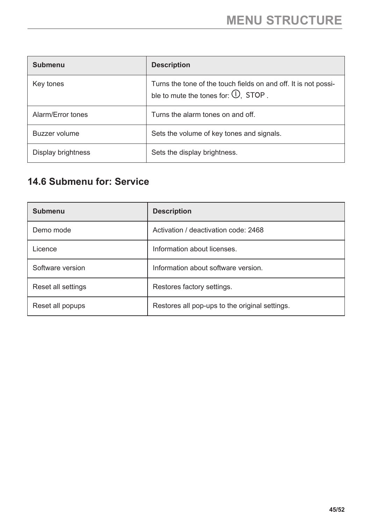<span id="page-44-0"></span>

| Submenu            | <b>Description</b>                                                                                                 |
|--------------------|--------------------------------------------------------------------------------------------------------------------|
| Key tones          | Turns the tone of the touch fields on and off. It is not possi-<br>ble to mute the tones for: $\mathbb{O}$ , STOP. |
| Alarm/Error tones  | Turns the alarm tones on and off.                                                                                  |
| Buzzer volume      | Sets the volume of key tones and signals.                                                                          |
| Display brightness | Sets the display brightness.                                                                                       |

### **14.6 Submenu for: Service**

| <b>Submenu</b>     | <b>Description</b>                             |
|--------------------|------------------------------------------------|
| Demo mode          | Activation / deactivation code: 2468           |
| Licence            | Information about licenses.                    |
| Software version   | Information about software version.            |
| Reset all settings | Restores factory settings.                     |
| Reset all popups   | Restores all pop-ups to the original settings. |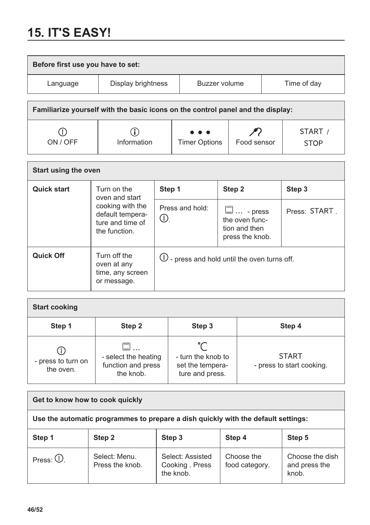# <span id="page-45-0"></span>**15. IT'S EASY!**

| Before first use you have to set:                                               |                                                                                                                    |               |                 |                                                         |        |             |                        |
|---------------------------------------------------------------------------------|--------------------------------------------------------------------------------------------------------------------|---------------|-----------------|---------------------------------------------------------|--------|-------------|------------------------|
| Language                                                                        | Display brightness                                                                                                 |               | Buzzer volume   |                                                         |        | Time of day |                        |
| Familiarize yourself with the basic icons on the control panel and the display: |                                                                                                                    |               |                 |                                                         |        |             |                        |
| ON / OFF                                                                        | Information                                                                                                        | Timer Options |                 | Food sensor                                             |        |             | START /<br><b>STOP</b> |
| Start using the oven                                                            |                                                                                                                    |               |                 |                                                         |        |             |                        |
| <b>Quick start</b>                                                              | Turn on the<br>oven and start                                                                                      | Step 1        |                 |                                                         | Step 2 |             | Step 3                 |
|                                                                                 | cooking with the<br>default tempera-<br>$\left( \left  \right\rangle \right)$<br>ture and time of<br>the function. |               | Press and hold: | $\Box \dots$ - press<br>the oven func-<br>tion and then |        |             | Press: START           |

|           | the function.                                                  | tion and then<br>press the knob.                     |  |
|-----------|----------------------------------------------------------------|------------------------------------------------------|--|
| Quick Off | Turn off the<br>oven at any<br>time, any screen<br>or message. | $\bigcup$ - press and hold until the oven turns off. |  |

| <b>Start cooking</b>            |                                                         |                                                           |                                           |  |  |  |
|---------------------------------|---------------------------------------------------------|-----------------------------------------------------------|-------------------------------------------|--|--|--|
| Step 1                          | Step 2                                                  | Step 3                                                    | Step 4                                    |  |  |  |
| - press to turn on<br>the oven. | - select the heating<br>function and press<br>the knob. | - turn the knob to<br>set the tempera-<br>ture and press. | <b>START</b><br>- press to start cooking. |  |  |  |

| Get to know how to cook quickly                                                   |                                  |                                                  |                              |                                           |
|-----------------------------------------------------------------------------------|----------------------------------|--------------------------------------------------|------------------------------|-------------------------------------------|
| Use the automatic programmes to prepare a dish quickly with the default settings: |                                  |                                                  |                              |                                           |
| Step 1                                                                            | Step 2                           | Step 3                                           | Step 4                       | Step 5                                    |
| Press: $①$ .                                                                      | Select: Menu.<br>Press the knob. | Select: Assisted<br>Cooking . Press<br>the knob. | Choose the<br>food category. | Choose the dish<br>and press the<br>knob. |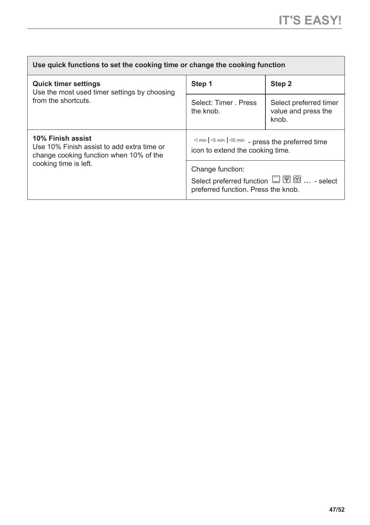| Use quick functions to set the cooking time or change the cooking function                                 |                                                                                                                                                                 |                                                        |  |  |  |
|------------------------------------------------------------------------------------------------------------|-----------------------------------------------------------------------------------------------------------------------------------------------------------------|--------------------------------------------------------|--|--|--|
| <b>Quick timer settings</b><br>Use the most used timer settings by choosing<br>from the shortcuts.         | Step 1                                                                                                                                                          | Step 2                                                 |  |  |  |
|                                                                                                            | Select: Timer . Press<br>the knob.                                                                                                                              | Select preferred timer<br>value and press the<br>knob. |  |  |  |
| 10% Finish assist<br>Use 10% Finish assist to add extra time or<br>change cooking function when 10% of the | +1 min   +5 min   +10 min - press the preferred time<br>icon to extend the cooking time.                                                                        |                                                        |  |  |  |
| cooking time is left.                                                                                      | Change function:<br>Select preferred function $\square \, \overline{\mathbb{Y}} \, \overline{\otimes} \, \dots$ - select<br>preferred function. Press the knob. |                                                        |  |  |  |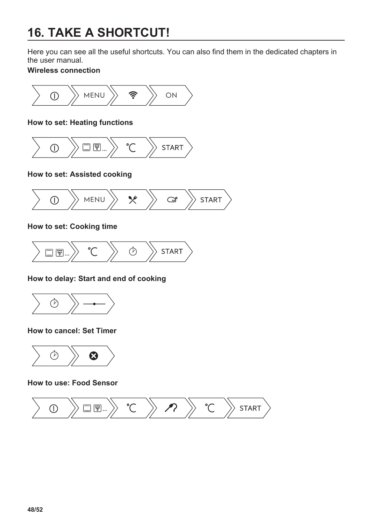# <span id="page-47-0"></span>**16. TAKE A SHORTCUT!**

Here you can see all the useful shortcuts. You can also find them in the dedicated chapters in the user manual.

#### **Wireless connection**



#### **How to set: Heating functions**



**How to set: Assisted cooking**



**How to set: Cooking time**



**How to delay: Start and end of cooking**



**How to cancel: Set Timer**



**How to use: Food Sensor**

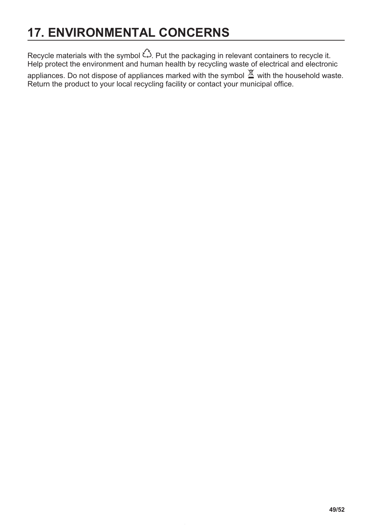# <span id="page-48-0"></span>**17. ENVIRONMENTAL CONCERNS**

Recycle materials with the symbol  $\hat{\omega}$ . Put the packaging in relevant containers to recycle it. Help protect the environment and human health by recycling waste of electrical and electronic appliances. Do not dispose of appliances marked with the symbol  $\mathbb X$  with the household waste. Return the product to your local recycling facility or contact your municipal office.